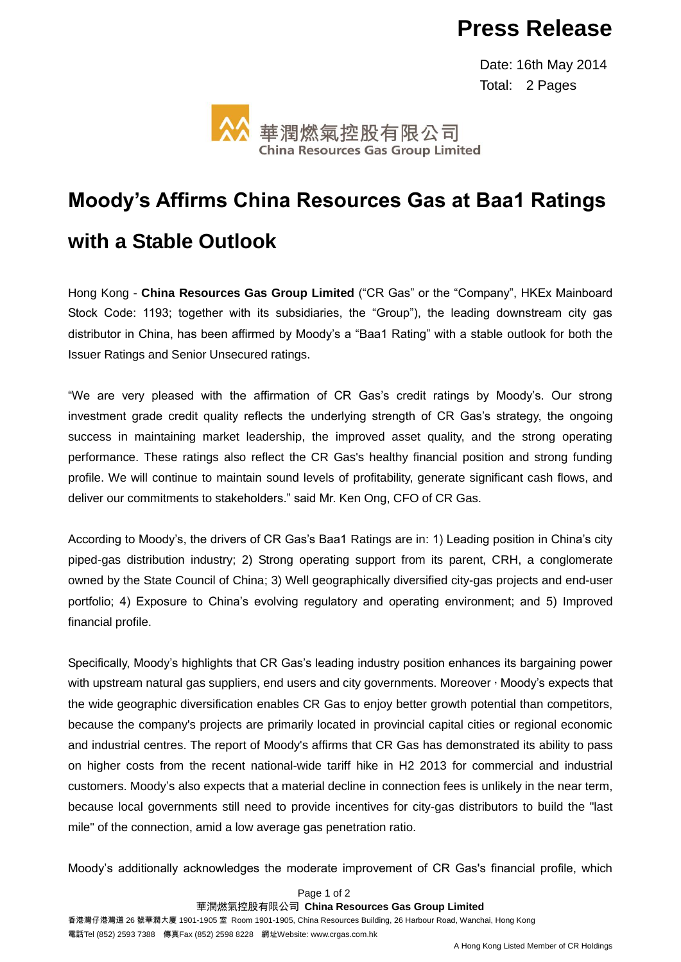## **Press Release**

 Date: 16th May 2014 Total: 2 Pages



## **Moody's Affirms China Resources Gas at Baa1 Ratings with a Stable Outlook**

Hong Kong - **China Resources Gas Group Limited** ("CR Gas" or the "Company", HKEx Mainboard Stock Code: 1193; together with its subsidiaries, the "Group"), the leading downstream city gas distributor in China, has been affirmed by Moody's a "Baa1 Rating" with a stable outlook for both the Issuer Ratings and Senior Unsecured ratings.

"We are very pleased with the affirmation of CR Gas's credit ratings by Moody's. Our strong investment grade credit quality reflects the underlying strength of CR Gas's strategy, the ongoing success in maintaining market leadership, the improved asset quality, and the strong operating performance. These ratings also reflect the CR Gas's healthy financial position and strong funding profile. We will continue to maintain sound levels of profitability, generate significant cash flows, and deliver our commitments to stakeholders." said Mr. Ken Ong, CFO of CR Gas.

According to Moody's, the drivers of CR Gas's Baa1 Ratings are in: 1) Leading position in China's city piped-gas distribution industry; 2) Strong operating support from its parent, CRH, a conglomerate owned by the State Council of China; 3) Well geographically diversified city-gas projects and end-user portfolio; 4) Exposure to China's evolving regulatory and operating environment; and 5) Improved financial profile.

Specifically, Moody's highlights that CR Gas's leading industry position enhances its bargaining power with upstream natural gas suppliers, end users and city governments. Moreover, Moody's expects that the wide geographic diversification enables CR Gas to enjoy better growth potential than competitors, because the company's projects are primarily located in provincial capital cities or regional economic and industrial centres. The report of Moody's affirms that CR Gas has demonstrated its ability to pass on higher costs from the recent national-wide tariff hike in H2 2013 for commercial and industrial customers. Moody's also expects that a material decline in connection fees is unlikely in the near term, because local governments still need to provide incentives for city-gas distributors to build the "last mile" of the connection, amid a low average gas penetration ratio.

Moody's additionally acknowledges the moderate improvement of CR Gas's financial profile, which